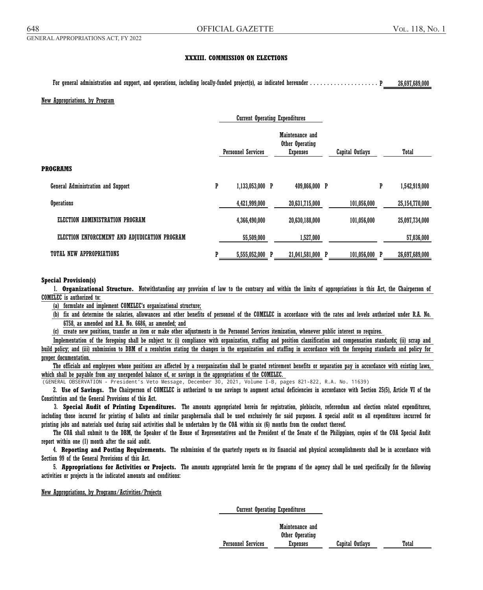## **XXXIII. COMMISSION ON ELECTIONS**

For general administration and support, and operations, including locally-funded project(s), as indicated hereunder . . . . . . . . . . . . . . . . . . . . . . . . . . . . . . . . . . P 26,697,689,000. . . . . . . . . .

For general administration and support, and operations, including locally-funded project(s), as indicated hereunder . . . . . . . . . . . . . . . . . . . . . . . . . . . . . . . . . . P 26,697,689,000. . . . . . . . . .

### New Appropriations, by Program

|   |               |                           | Maintenance and<br>Other Operating<br><b>Expenses</b> |                                       | <b>Capital Outlays</b>            |   | Total          |
|---|---------------|---------------------------|-------------------------------------------------------|---------------------------------------|-----------------------------------|---|----------------|
|   |               |                           |                                                       |                                       |                                   |   |                |
| P |               |                           |                                                       |                                       |                                   | P | 1,542,919,000  |
|   | 4,421,999,000 |                           | 20,631,715,000                                        |                                       | 101,056,000                       |   | 25,154,770,000 |
|   | 4,366,490,000 |                           | 20,630,188,000                                        |                                       | 101,056,000                       |   | 25,097,734,000 |
|   | 55,509,000    |                           | 1,527,000                                             |                                       |                                   |   | 57,036,000     |
|   | 5,555,052,000 | P                         |                                                       |                                       |                                   |   | 26,697,689,000 |
|   |               | <b>Personnel Services</b> | 1,133,053,000 P                                       | <b>Current Operating Expenditures</b> | 409,866,000 P<br>21,041,581,000 P |   | 101,056,000 P  |

### **Special Provision(s)**

1. **Organizational Structure.** Notwithstanding any provision of law to the contrary and within the limits of appropriations in this Act, the Chairperson of **Special Provision(s) COMELEC** is authorized to:  $\blacksquare$ 

(a) formulate and implement COMELEC's organizational structure;

(b) fix and determine the salaries, allowances and other benefits of personnel of the COMELEC in accordance with the rates and levels authorized under R.A. No.  $6758$ , as amended and R.A. No.  $6686$ , as amended; and  $\blacksquare$  $\overline{a}$ 

(c) create new positions, transfer an item or make other adjustments in the Personnel Services itemization, whenever public interest so requires.

Implementation of the foregoing shall be subject to: (i) compliance with organization, staffing and position classification and compensation standards; (ii) scrap and build policy; and (iii) submission to DBM of a resolution stating the changes in the organization and staffing in accordance with the foregoing standards and policy for proper documentation.  $\mathbf p$  documentation. The organization stating the organization stating the foregoing stating stating stating stating stating stating stating stating stating stating stating stating stating stating stating stating stating

The officials and employees whose positions are affected by a reorganization shall be granted retirement benefits or separation pay in accordance with existing laws, which shall be payable from any unexpended balance of, or savings in the appropriations of the COMELEC.

(GENERAL OBSERVATION - President's Veto Message, December 30, 2021, Volume I-B, pages 821-822, R.A. No. 11639)

2. Use of Savings. The Chairperson of COMELEC is authorized to use savings to augment actual deficiencies in accordance with Section 25(5), Article VI of the Constitution and the General Provisions of this Act.

3. Special Audit of Printing Expenditures. The amounts appropriated herein for registration, plebiscite, referendum and election related expenditures, including those incurred for printing of ballots and similar paraphernalia shall be used exclusively for said purposes. A special audit on all expenditures incurred for printing jobs and materials used during said activities shall be undertaken by the COA within six (6) months from the conduct thereof.

The COA shall submit to the DBM, the Speaker of the House of Representatives and the President of the Senate of the Philippines, copies of the COA Special Audit report within one (1) month after the said audit.

Section 99 of the General Provisions of this Act. 4. **Reporting and Posting Requirements.** The submission of the quarterly reports on its financial and physical accomplishments shall be in accordance with

5. **Appropriations for Activities or Projects.** The amounts appropriated herein for the programs of the agency shall be used specifically for the following activities or projects in the indicated amounts and conditions:

### New Appropriations, by Programs/Activities/Projects

Current Operating Expenditures

Maintenance and Other Operating Personnel Services **Expenses** Capital Outlays Total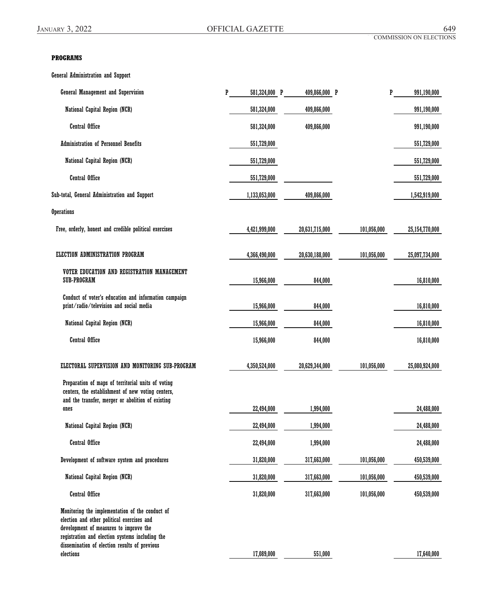# **PROGRAMS**

General Administration and Support

| <b>General Management and Supervision</b>                                                                                                                                                                                                   | P | 581,324,000 P | 409,866,000 P  |             | P | 991,190,000    |
|---------------------------------------------------------------------------------------------------------------------------------------------------------------------------------------------------------------------------------------------|---|---------------|----------------|-------------|---|----------------|
| National Capital Region (NCR)                                                                                                                                                                                                               |   | 581,324,000   | 409,866,000    |             |   | 991,190,000    |
| <b>Central Office</b>                                                                                                                                                                                                                       |   | 581,324,000   | 409,866,000    |             |   | 991,190,000    |
| <b>Administration of Personnel Benefits</b>                                                                                                                                                                                                 |   | 551,729,000   |                |             |   | 551,729,000    |
| National Capital Region (NCR)                                                                                                                                                                                                               |   | 551,729,000   |                |             |   | 551,729,000    |
| <b>Central Office</b>                                                                                                                                                                                                                       |   | 551,729,000   |                |             |   | 551,729,000    |
| Sub-total, General Administration and Support                                                                                                                                                                                               |   | 1,133,053,000 | 409,866,000    |             |   | 1,542,919,000  |
| <b>Operations</b>                                                                                                                                                                                                                           |   |               |                |             |   |                |
| Free, orderly, honest and credible political exercises                                                                                                                                                                                      |   | 4,421,999,000 | 20,631,715,000 | 101,056,000 |   | 25,154,770,000 |
| ELECTION ADMINISTRATION PROGRAM                                                                                                                                                                                                             |   | 4,366,490,000 | 20,630,188,000 | 101,056,000 |   | 25,097,734,000 |
| VOTER EDUCATION AND REGISTRATION MANAGEMENT<br>SUB-PROGRAM                                                                                                                                                                                  |   | 15,966,000    | 844,000        |             |   | 16,810,000     |
| Conduct of voter's education and information campaign<br>print/radio/television and social media                                                                                                                                            |   | 15,966,000    | 844,000        |             |   | 16,810,000     |
| National Capital Region (NCR)                                                                                                                                                                                                               |   | 15,966,000    | 844,000        |             |   | 16,810,000     |
| <b>Central Office</b>                                                                                                                                                                                                                       |   | 15,966,000    | 844,000        |             |   | 16,810,000     |
| ELECTORAL SUPERVISION AND MONITORING SUB-PROGRAM                                                                                                                                                                                            |   | 4,350,524,000 | 20,629,344,000 | 101,056,000 |   | 25,080,924,000 |
| Preparation of maps of territorial units of voting<br>centers, the establishment of new voting centers,<br>and the transfer, merger or abolition of existing                                                                                |   |               |                |             |   |                |
| ones                                                                                                                                                                                                                                        |   | 22,494,000    | 1,994,000      |             |   | 24,488,000     |
| National Capital Region (NCR)                                                                                                                                                                                                               |   | 22,494,000    | 1,994,000      |             |   | 24,488,000     |
| <b>Central Office</b>                                                                                                                                                                                                                       |   | 22,494,000    | 1,994,000      |             |   | 24,488,000     |
| Development of software system and procedures                                                                                                                                                                                               |   | 31,820,000    | 317,663,000    | 101,056,000 |   | 450,539,000    |
| National Capital Region (NCR)                                                                                                                                                                                                               |   | 31,820,000    | 317,663,000    | 101,056,000 |   | 450,539,000    |
| <b>Central Office</b>                                                                                                                                                                                                                       |   | 31,820,000    | 317,663,000    | 101,056,000 |   | 450,539,000    |
| Monitoring the implementation of the conduct of<br>election and other political exercises and<br>development of measures to improve the<br>registration and election systems including the<br>dissemination of election results of previous |   |               |                |             |   |                |
| elections                                                                                                                                                                                                                                   |   | 17,089,000    | 551,000        |             |   | 17,640,000     |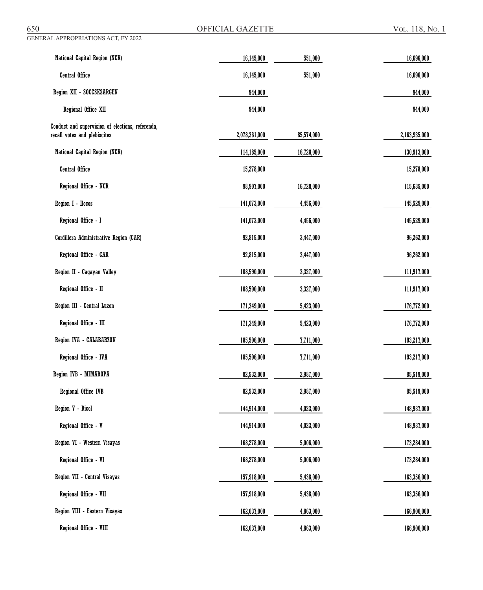GENERAL APPROPRIATIONS ACT, FY 2022

OFFICIAL GAZETTE Vol. 118, No. 1

| National Capital Region (NCR)                                                    | 16,145,000    | 551,000    | 16,696,000    |
|----------------------------------------------------------------------------------|---------------|------------|---------------|
| <b>Central Office</b>                                                            | 16,145,000    | 551,000    | 16,696,000    |
| Region XII - SOCCSKSARGEN                                                        | 944,000       |            | 944,000       |
| Regional Office XII                                                              | 944,000       |            | 944,000       |
| Conduct and supervision of elections, referenda,<br>recall votes and plebiscites | 2,078,361,000 | 85,574,000 | 2,163,935,000 |
| National Capital Region (NCR)                                                    | 114,185,000   | 16,728,000 | 130,913,000   |
| Central Office                                                                   | 15,278,000    |            | 15,278,000    |
| Regional Office - NCR                                                            | 98,907,000    | 16,728,000 | 115,635,000   |
| Region I - Ilocos                                                                | 141,073,000   | 4,456,000  | 145,529,000   |
| Regional Office - I                                                              | 141,073,000   | 4,456,000  | 145,529,000   |
| Cordillera Administrative Region (CAR)                                           | 92,815,000    | 3,447,000  | 96,262,000    |
| Regional Office - CAR                                                            | 92,815,000    | 3,447,000  | 96,262,000    |
| Region II - Cagayan Valley                                                       | 108,590,000   | 3,327,000  | 111,917,000   |
| Regional Office - II                                                             | 108,590,000   | 3,327,000  | 111,917,000   |
| Region III - Central Luzon                                                       | 171,349,000   | 5,423,000  | 176,772,000   |
| Regional Office - III                                                            | 171,349,000   | 5,423,000  | 176,772,000   |
| Region IVA - CALABARZON                                                          | 185,506,000   | 7,711,000  | 193,217,000   |
| Regional Office - IVA                                                            | 185,506,000   | 7,711,000  | 193,217,000   |
| Region IVB - MIMAROPA                                                            | 82,532,000    | 2,987,000  | 85,519,000    |
| Regional Office IVB                                                              | 82,532,000    | 2,987,000  | 85,519,000    |
| Region V - Bicol                                                                 | 144,914,000   | 4,023,000  | 148,937,000   |
| Regional Office - V                                                              | 144,914,000   | 4,023,000  | 148,937,000   |
| Region VI - Western Visayas                                                      | 168,278,000   | 5,006,000  | 173,284,000   |
| Regional Office - VI                                                             | 168,278,000   | 5,006,000  | 173,284,000   |
| Region VII - Central Visayas                                                     | 157,918,000   | 5,438,000  | 163,356,000   |
| Regional Office - VII                                                            | 157,918,000   | 5,438,000  | 163,356,000   |
| Region VIII - Eastern Visayas                                                    | 162,037,000   | 4,863,000  | 166,900,000   |
| Regional Office - VIII                                                           | 162,037,000   | 4,863,000  | 166,900,000   |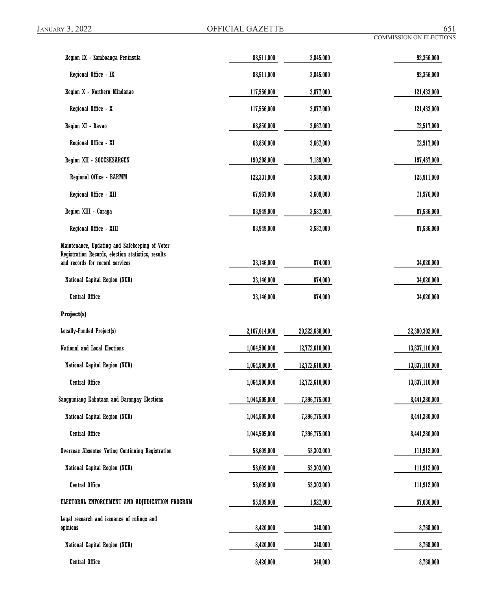| Region IX - Zamboanga Peninsula                                                                      | 88,511,000    | 3,845,000      | 92,356,000     |  |
|------------------------------------------------------------------------------------------------------|---------------|----------------|----------------|--|
| Regional Office - IX                                                                                 | 88,511,000    | 3,845,000      | 92,356,000     |  |
| Region X - Northern Mindanao                                                                         | 117,556,000   | 3,877,000      | 121,433,000    |  |
| Regional Office - X                                                                                  | 117,556,000   | 3,877,000      | 121,433,000    |  |
| Region XI - Davao                                                                                    | 68,850,000    | 3,667,000      | 72,517,000     |  |
| Regional Office - XI                                                                                 | 68,850,000    | 3,667,000      | 72,517,000     |  |
| Region XII - SOCCSKSARGEN                                                                            | 190,298,000   | 7,189,000      | 197,487,000    |  |
| Regional Office - BARMM                                                                              | 122,331,000   | 3,580,000      | 125,911,000    |  |
| Regional Office - XII                                                                                | 67,967,000    | 3,609,000      | 71,576,000     |  |
| Region XIII - Caraga                                                                                 | 83,949,000    | 3,587,000      | 87,536,000     |  |
| Regional Office - XIII                                                                               | 83,949,000    | 3,587,000      | 87,536,000     |  |
| Maintenance, Updating and Safekeeping of Voter<br>Registration Records, election statistics, results |               |                |                |  |
| and records for record services                                                                      | 33,146,000    | 874,000        | 34,020,000     |  |
| National Capital Region (NCR)                                                                        | 33,146,000    | 874,000        | 34,020,000     |  |
| <b>Central Office</b>                                                                                | 33,146,000    | 874,000        | 34,020,000     |  |
| Project(s)                                                                                           |               |                |                |  |
| Locally-Funded Project(s)                                                                            | 2,167,614,000 | 20,222,688,000 | 22,390,302,000 |  |
| <b>National and Local Elections</b>                                                                  | 1,064,500,000 | 12,772,610,000 | 13,837,110,000 |  |
| National Capital Region (NCR)                                                                        | 1,064,500,000 | 12,772,610,000 | 13,837,110,000 |  |
| <b>Central Office</b>                                                                                | 1,064,500,000 | 12,772,610,000 | 13,837,110,000 |  |
| Sangguniang Kabataan and Barangay Elections                                                          | 1,044,505,000 | 7,396,775,000  | 8,441,280,000  |  |
| National Capital Region (NCR)                                                                        | 1,044,505,000 | 7,396,775,000  | 8,441,280,000  |  |
| <b>Central Office</b>                                                                                | 1,044,505,000 | 7,396,775,000  | 8,441,280,000  |  |
| <b>Overseas Absentee Voting Continuing Registration</b>                                              | 58,609,000    | 53,303,000     | 111,912,000    |  |
| National Capital Region (NCR)                                                                        | 58,609,000    | 53,303,000     | 111,912,000    |  |
| <b>Central Office</b>                                                                                | 58,609,000    | 53,303,000     | 111,912,000    |  |
| ELECTORAL ENFORCEMENT AND ADJUDICATION PROGRAM                                                       | 55,509,000    | 1,527,000      | 57,036,000     |  |
| Legal research and issuance of rulings and<br>opinions                                               | 8,420,000     | 348,000        | 8,768,000      |  |
| National Capital Region (NCR)                                                                        | 8,420,000     | 348,000        | 8,768,000      |  |
| <b>Central Office</b>                                                                                | 8,420,000     | 348,000        | 8,768,000      |  |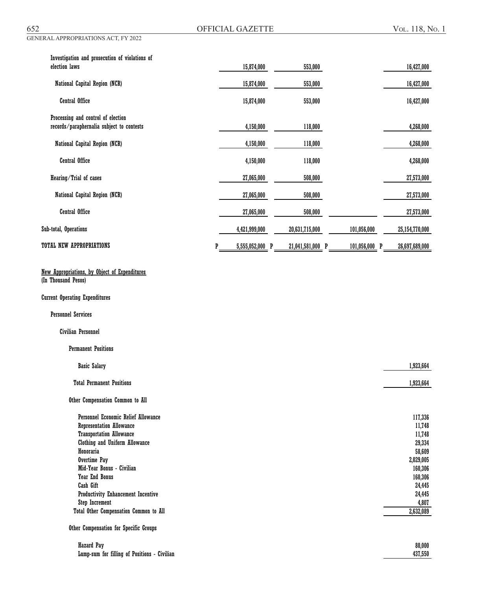| Investigation and prosecution of violations of |                      |                  |               |                |
|------------------------------------------------|----------------------|------------------|---------------|----------------|
| election laws                                  | 15,874,000           | 553,000          |               | 16,427,000     |
| National Capital Region (NCR)                  | 15,874,000           | 553,000          |               | 16,427,000     |
| Central Office                                 | 15,874,000           | 553,000          |               | 16,427,000     |
| Processing and control of election             |                      |                  |               |                |
| records/paraphernalia subject to contests      | 4,150,000            | 118,000          |               | 4,268,000      |
| National Capital Region (NCR)                  | 4,150,000            | 118,000          |               | 4,268,000      |
| <b>Central Office</b>                          | 4,150,000            | 118,000          |               | 4,268,000      |
| Hearing/Trial of cases                         | 27,065,000           | 508,000          |               | 27,573,000     |
| National Capital Region (NCR)                  | 27,065,000           | 508,000          |               | 27,573,000     |
| <b>Central Office</b>                          | 27,065,000           | 508,000          |               | 27,573,000     |
| Sub-total, Operations                          | 4,421,999,000        | 20,631,715,000   | 101,056,000   | 25,154,770,000 |
| TOTAL NEW APPROPRIATIONS                       | P<br>5,555,052,000 P | 21,041,581,000 P | 101,056,000 P | 26,697,689,000 |

# New Appropriations, by Object of Expenditures

(In Thousand Pesos)

### Current Operating Expenditures

Personnel Services

# Civilian Personnel

### Permanent Positions

| <b>Basic Salary</b>                       | 1,923,664 |
|-------------------------------------------|-----------|
| <b>Total Permanent Positions</b>          | 1,923,664 |
| Other Compensation Common to All          |           |
| Personnel Economic Relief Allowance       | 117,336   |
| <b>Representation Allowance</b>           | 11,748    |
| <b>Transportation Allowance</b>           | 11,748    |
| <b>Clothing and Uniform Allowance</b>     | 29,334    |
| Honoraria                                 | 58,609    |
| Overtime Pay                              | 2,029,005 |
| Mid-Year Bonus - Civilian                 | 160,306   |
| <b>Year End Bonus</b>                     | 160,306   |
| Cash Gift                                 | 24,445    |
| <b>Productivity Enhancement Incentive</b> | 24,445    |
| <b>Step Increment</b>                     | 4,807     |
| Total Other Compensation Common to All    | 2,632,089 |

 Hazard Pay 80,000 Lump-sum for filling of Positions - Civilian 437,550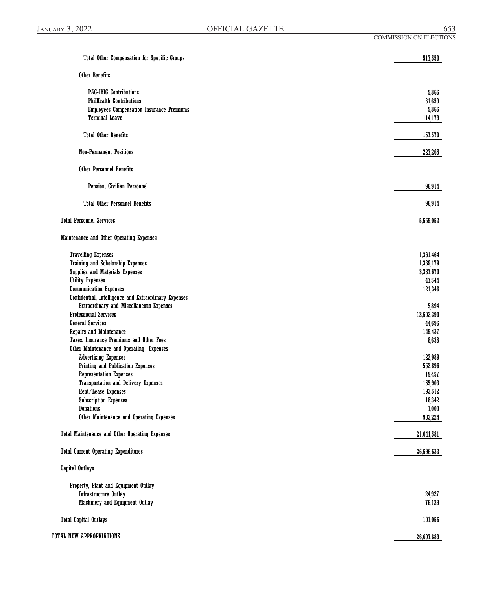| <b>Total Other Compensation for Specific Groups</b>   | 517,550    |
|-------------------------------------------------------|------------|
| Other Benefits                                        |            |
| <b>PAG-IBIG Contributions</b>                         | 5,866      |
| <b>PhilHealth Contributions</b>                       | 31,659     |
| <b>Employees Compensation Insurance Premiums</b>      | 5,866      |
| <b>Terminal Leave</b>                                 | 114,179    |
| <b>Total Other Benefits</b>                           | 157,570    |
| <b>Non-Permanent Positions</b>                        | 227,265    |
| <b>Other Personnel Benefits</b>                       |            |
| Pension, Civilian Personnel                           | 96,914     |
| <b>Total Other Personnel Benefits</b>                 | 96,914     |
| <b>Total Personnel Services</b>                       | 5,555,052  |
| Maintenance and Other Operating Expenses              |            |
| <b>Travelling Expenses</b>                            | 1,361,464  |
| <b>Training and Scholarship Expenses</b>              | 1,369,179  |
| <b>Supplies and Materials Expenses</b>                | 3,387,670  |
| <b>Utility Expenses</b>                               | 47,544     |
| <b>Communication Expenses</b>                         | 121,346    |
| Confidential, Intelligence and Extraordinary Expenses |            |
| Extraordinary and Miscellaneous Expenses              | 5,894      |
| <b>Professional Services</b>                          | 12,502,390 |
| <b>General Services</b>                               | 44,696     |
| Repairs and Maintenance                               | 145,437    |
| Taxes, Insurance Premiums and Other Fees              | 8,638      |
| Other Maintenance and Operating Expenses              |            |
| <b>Advertising Expenses</b>                           | 122,989    |
| Printing and Publication Expenses                     | 552,896    |
| <b>Representation Expenses</b>                        | 19,457     |
| <b>Transportation and Delivery Expenses</b>           | 155,903    |
| Rent/Lease Expenses                                   | 193,512    |
| <b>Subscription Expenses</b>                          | 18,342     |
| <b>Donations</b>                                      | 1,000      |
| Other Maintenance and Operating Expenses              | 983,224    |
| Total Maintenance and Other Operating Expenses        | 21,041,581 |
| <b>Total Current Operating Expenditures</b>           | 26,596,633 |
| <b>Capital Outlays</b>                                |            |
| Property, Plant and Equipment Outlay                  |            |
| Infrastructure Outlay                                 | 24,927     |
| Machinery and Equipment Outlay                        | 76,129     |
| <b>Total Capital Outlays</b>                          | 101,056    |
| TOTAL NEW APPROPRIATIONS                              | 26,697,689 |